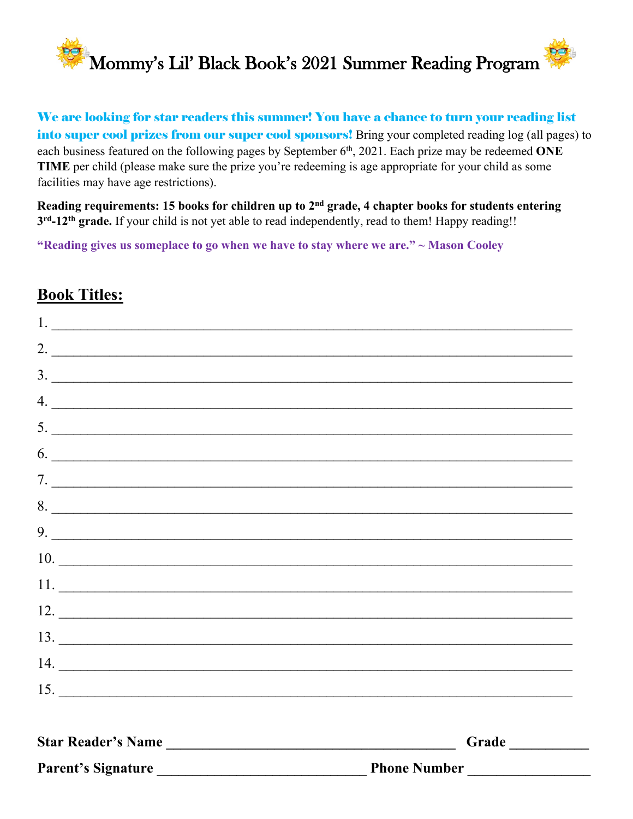

We are looking for star readers this summer! You have a chance to turn your reading list into super cool prizes from our super cool sponsors! Bring your completed reading log (all pages) to each business featured on the following pages by September 6<sup>th</sup>, 2021. Each prize may be redeemed **ONE TIME** per child (please make sure the prize you're redeeming is age appropriate for your child as some facilities may have age restrictions).

**Reading requirements: 15 books for children up to 2nd grade, 4 chapter books for students entering 3 rd-12th grade.** If your child is not yet able to read independently, read to them! Happy reading!!

**"Reading gives us someplace to go when we have to stay where we are." ~ Mason Cooley**

## **Book Titles:**

| Star Reader's Name | Grade                                                          |
|--------------------|----------------------------------------------------------------|
| 15.                |                                                                |
|                    | 14.                                                            |
|                    |                                                                |
|                    | $13.$ $\overline{\phantom{13331}}$                             |
|                    | 12.                                                            |
|                    | $\boxed{11. \ \ \textcolor{blue}{\underbrace{\qquad \qquad }}$ |
| 10.                |                                                                |
|                    | 9.                                                             |
|                    | 8.                                                             |
|                    | 7.                                                             |
|                    | 6.                                                             |
|                    | 5.                                                             |
|                    | 4.                                                             |
|                    | 3.                                                             |
| 2.                 |                                                                |
| 1.                 |                                                                |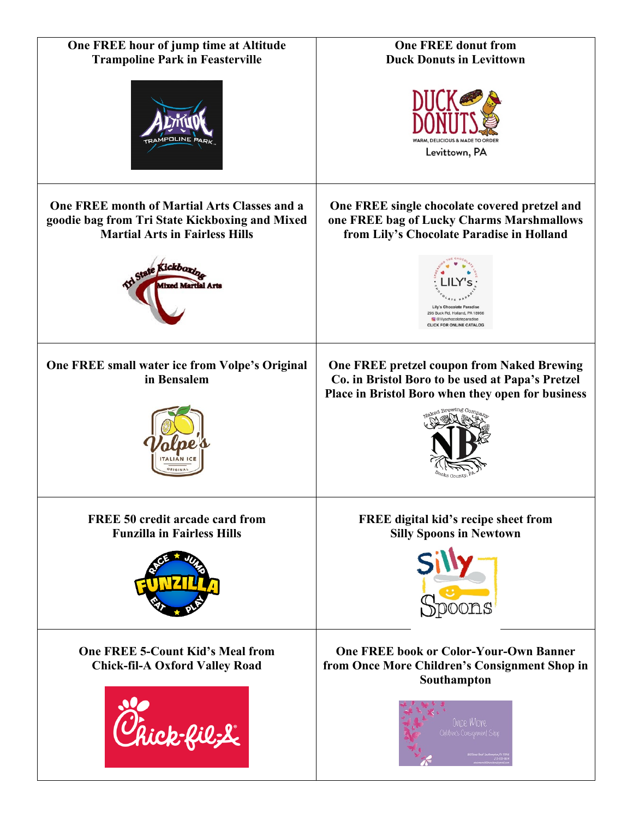